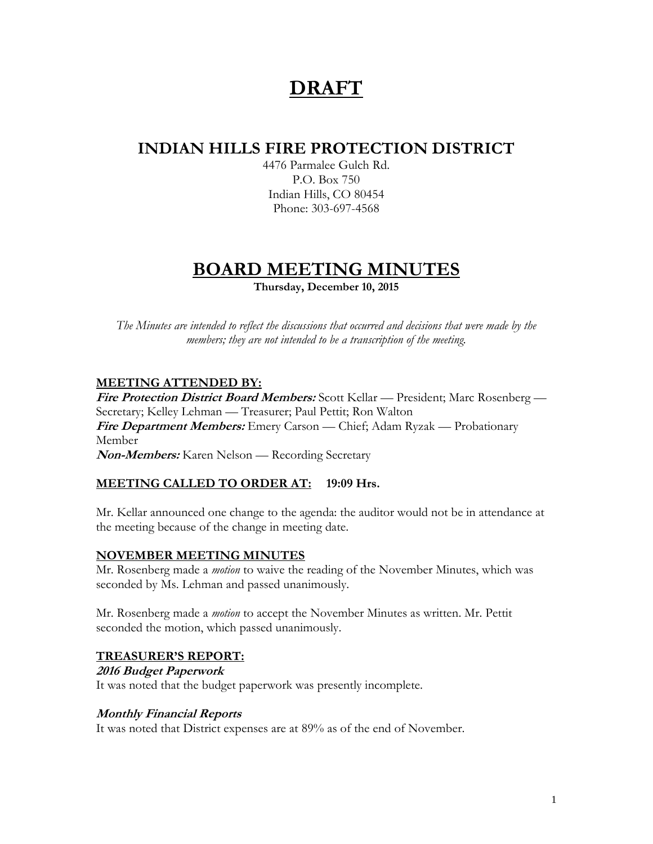# **DRAFT**

## **INDIAN HILLS FIRE PROTECTION DISTRICT**

4476 Parmalee Gulch Rd. P.O. Box 750 Indian Hills, CO 80454 Phone: 303-697-4568

## **BOARD MEETING MINUTES**

**Thursday, December 10, 2015**

*The Minutes are intended to reflect the discussions that occurred and decisions that were made by the members; they are not intended to be a transcription of the meeting.*

## **MEETING ATTENDED BY:**

**Fire Protection District Board Members:** Scott Kellar — President; Marc Rosenberg — Secretary; Kelley Lehman — Treasurer; Paul Pettit; Ron Walton **Fire Department Members:** Emery Carson — Chief; Adam Ryzak — Probationary Member

**Non-Members:** Karen Nelson — Recording Secretary

## **MEETING CALLED TO ORDER AT: 19:09 Hrs.**

Mr. Kellar announced one change to the agenda: the auditor would not be in attendance at the meeting because of the change in meeting date.

## **NOVEMBER MEETING MINUTES**

Mr. Rosenberg made a *motion* to waive the reading of the November Minutes, which was seconded by Ms. Lehman and passed unanimously.

Mr. Rosenberg made a *motion* to accept the November Minutes as written. Mr. Pettit seconded the motion, which passed unanimously.

## **TREASURER'S REPORT:**

**2016 Budget Paperwork**

It was noted that the budget paperwork was presently incomplete.

## **Monthly Financial Reports**

It was noted that District expenses are at 89% as of the end of November.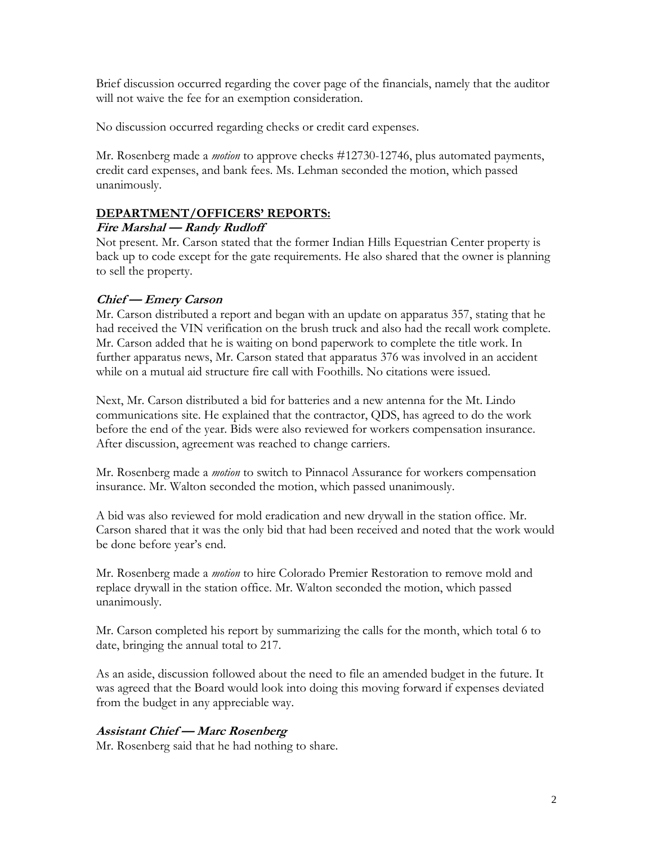Brief discussion occurred regarding the cover page of the financials, namely that the auditor will not waive the fee for an exemption consideration.

No discussion occurred regarding checks or credit card expenses.

Mr. Rosenberg made a *motion* to approve checks #12730-12746, plus automated payments, credit card expenses, and bank fees. Ms. Lehman seconded the motion, which passed unanimously.

## **DEPARTMENT/OFFICERS' REPORTS:**

## **Fire Marshal — Randy Rudloff**

Not present. Mr. Carson stated that the former Indian Hills Equestrian Center property is back up to code except for the gate requirements. He also shared that the owner is planning to sell the property.

## **Chief — Emery Carson**

Mr. Carson distributed a report and began with an update on apparatus 357, stating that he had received the VIN verification on the brush truck and also had the recall work complete. Mr. Carson added that he is waiting on bond paperwork to complete the title work. In further apparatus news, Mr. Carson stated that apparatus 376 was involved in an accident while on a mutual aid structure fire call with Foothills. No citations were issued.

Next, Mr. Carson distributed a bid for batteries and a new antenna for the Mt. Lindo communications site. He explained that the contractor, QDS, has agreed to do the work before the end of the year. Bids were also reviewed for workers compensation insurance. After discussion, agreement was reached to change carriers.

Mr. Rosenberg made a *motion* to switch to Pinnacol Assurance for workers compensation insurance. Mr. Walton seconded the motion, which passed unanimously.

A bid was also reviewed for mold eradication and new drywall in the station office. Mr. Carson shared that it was the only bid that had been received and noted that the work would be done before year's end.

Mr. Rosenberg made a *motion* to hire Colorado Premier Restoration to remove mold and replace drywall in the station office. Mr. Walton seconded the motion, which passed unanimously.

Mr. Carson completed his report by summarizing the calls for the month, which total 6 to date, bringing the annual total to 217.

As an aside, discussion followed about the need to file an amended budget in the future. It was agreed that the Board would look into doing this moving forward if expenses deviated from the budget in any appreciable way.

## **Assistant Chief — Marc Rosenberg**

Mr. Rosenberg said that he had nothing to share.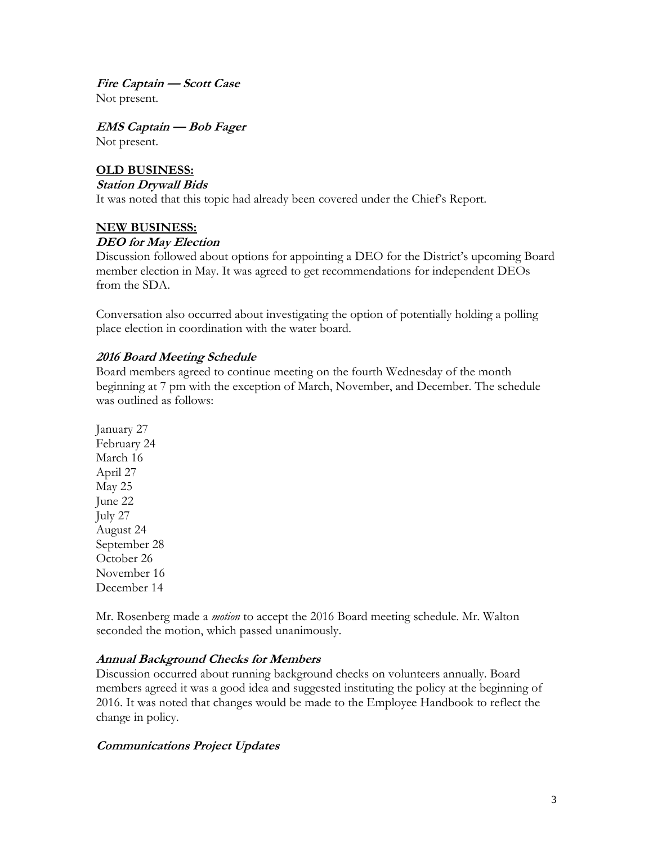**Fire Captain — Scott Case** Not present.

**EMS Captain — Bob Fager** Not present.

#### **OLD BUSINESS:**

#### **Station Drywall Bids**

It was noted that this topic had already been covered under the Chief's Report.

#### **NEW BUSINESS:**

#### **DEO for May Election**

Discussion followed about options for appointing a DEO for the District's upcoming Board member election in May. It was agreed to get recommendations for independent DEOs from the SDA.

Conversation also occurred about investigating the option of potentially holding a polling place election in coordination with the water board.

#### **2016 Board Meeting Schedule**

Board members agreed to continue meeting on the fourth Wednesday of the month beginning at 7 pm with the exception of March, November, and December. The schedule was outlined as follows:

January 27 February 24 March 16 April 27 May 25 June 22 July 27 August 24 September 28 October 26 November 16 December 14

Mr. Rosenberg made a *motion* to accept the 2016 Board meeting schedule. Mr. Walton seconded the motion, which passed unanimously.

#### **Annual Background Checks for Members**

Discussion occurred about running background checks on volunteers annually. Board members agreed it was a good idea and suggested instituting the policy at the beginning of 2016. It was noted that changes would be made to the Employee Handbook to reflect the change in policy.

#### **Communications Project Updates**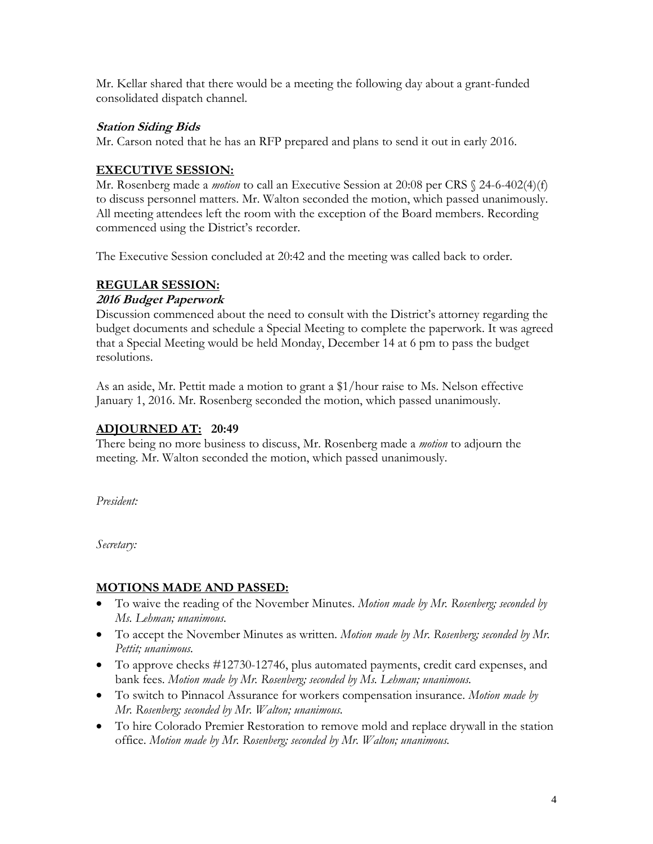Mr. Kellar shared that there would be a meeting the following day about a grant-funded consolidated dispatch channel.

### **Station Siding Bids**

Mr. Carson noted that he has an RFP prepared and plans to send it out in early 2016.

## **EXECUTIVE SESSION:**

Mr. Rosenberg made a *motion* to call an Executive Session at 20:08 per CRS § 24-6-402(4)(f) to discuss personnel matters. Mr. Walton seconded the motion, which passed unanimously. All meeting attendees left the room with the exception of the Board members. Recording commenced using the District's recorder.

The Executive Session concluded at 20:42 and the meeting was called back to order.

## **REGULAR SESSION:**

### **2016 Budget Paperwork**

Discussion commenced about the need to consult with the District's attorney regarding the budget documents and schedule a Special Meeting to complete the paperwork. It was agreed that a Special Meeting would be held Monday, December 14 at 6 pm to pass the budget resolutions.

As an aside, Mr. Pettit made a motion to grant a \$1/hour raise to Ms. Nelson effective January 1, 2016. Mr. Rosenberg seconded the motion, which passed unanimously.

## **ADJOURNED AT: 20:49**

There being no more business to discuss, Mr. Rosenberg made a *motion* to adjourn the meeting. Mr. Walton seconded the motion, which passed unanimously.

*President:*

*Secretary:*

## **MOTIONS MADE AND PASSED:**

- To waive the reading of the November Minutes. *Motion made by Mr. Rosenberg; seconded by Ms. Lehman; unanimous.*
- To accept the November Minutes as written. *Motion made by Mr. Rosenberg; seconded by Mr. Pettit; unanimous.*
- To approve checks #12730-12746, plus automated payments, credit card expenses, and bank fees. *Motion made by Mr. Rosenberg; seconded by Ms. Lehman; unanimous.*
- To switch to Pinnacol Assurance for workers compensation insurance. *Motion made by Mr. Rosenberg; seconded by Mr. Walton; unanimous.*
- To hire Colorado Premier Restoration to remove mold and replace drywall in the station office. *Motion made by Mr. Rosenberg; seconded by Mr. Walton; unanimous.*